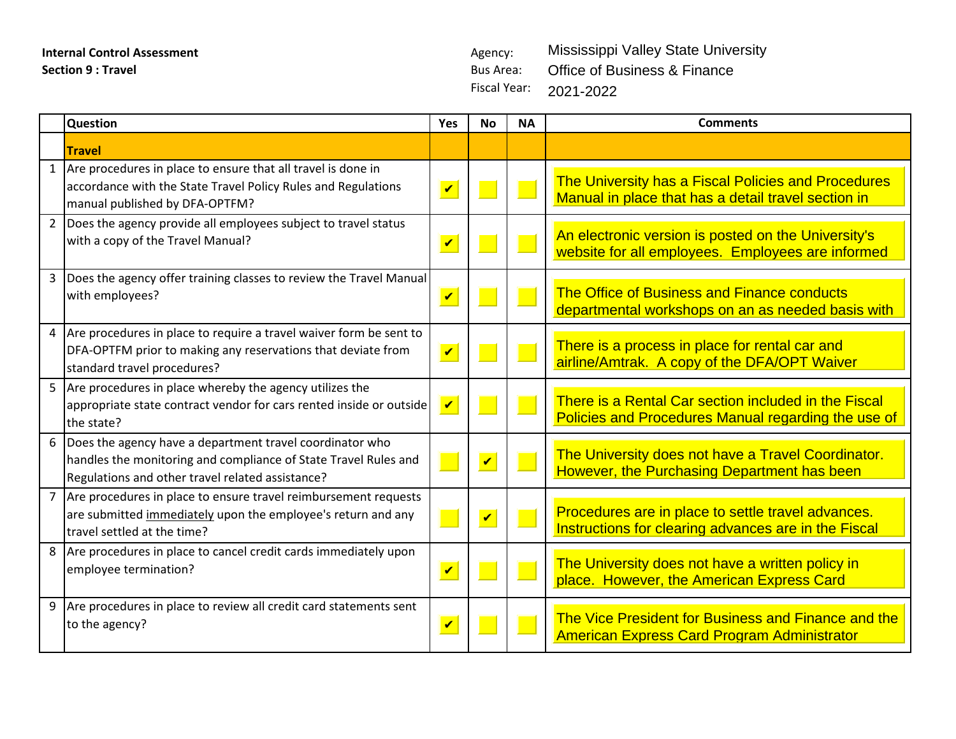**Internal Control Assessment** Agency: **Section 9 : Travel Bus Area: Bus Area: Bus Area: Bus Area: Bus Area: Bus Area:** 

Fiscal Year: Mississippi Valley State University Office of Business & Finance 2021-2022

|                | <b>Question</b>                                                                                                                                                                   | Yes                     | <b>No</b>               | <b>NA</b> | <b>Comments</b>                                                                                             |
|----------------|-----------------------------------------------------------------------------------------------------------------------------------------------------------------------------------|-------------------------|-------------------------|-----------|-------------------------------------------------------------------------------------------------------------|
|                | <b>Travel</b>                                                                                                                                                                     |                         |                         |           |                                                                                                             |
|                | 1 Are procedures in place to ensure that all travel is done in<br>accordance with the State Travel Policy Rules and Regulations<br>manual published by DFA-OPTFM?                 | $\overline{\mathbf{v}}$ |                         |           | The University has a Fiscal Policies and Procedures<br>Manual in place that has a detail travel section in  |
|                | 2 Does the agency provide all employees subject to travel status<br>with a copy of the Travel Manual?                                                                             | $\overline{\mathbf{v}}$ |                         |           | An electronic version is posted on the University's<br>website for all employees. Employees are informed    |
| $\overline{3}$ | Does the agency offer training classes to review the Travel Manual<br>with employees?                                                                                             | $\blacktriangledown$    |                         |           | The Office of Business and Finance conducts<br>departmental workshops on an as needed basis with            |
|                | 4 Are procedures in place to require a travel waiver form be sent to<br>DFA-OPTFM prior to making any reservations that deviate from<br>standard travel procedures?               | $\overline{\mathbf{v}}$ |                         |           | There is a process in place for rental car and<br>airline/Amtrak. A copy of the DFA/OPT Waiver              |
|                | 5 Are procedures in place whereby the agency utilizes the<br>appropriate state contract vendor for cars rented inside or outside<br>the state?                                    | $\overline{\mathbf{v}}$ |                         |           | There is a Rental Car section included in the Fiscal<br>Policies and Procedures Manual regarding the use of |
|                | 6 Does the agency have a department travel coordinator who<br>handles the monitoring and compliance of State Travel Rules and<br>Regulations and other travel related assistance? |                         | $\overline{\mathbf{v}}$ | e e       | The University does not have a Travel Coordinator.<br>However, the Purchasing Department has been           |
|                | 7 Are procedures in place to ensure travel reimbursement requests<br>are submitted immediately upon the employee's return and any<br>travel settled at the time?                  |                         | $\overline{\mathbf{v}}$ |           | Procedures are in place to settle travel advances.<br>Instructions for clearing advances are in the Fiscal  |
|                | 8 Are procedures in place to cancel credit cards immediately upon<br>employee termination?                                                                                        | $\overline{\mathbf{v}}$ |                         |           | The University does not have a written policy in<br>place. However, the American Express Card               |
|                | 9 Are procedures in place to review all credit card statements sent<br>to the agency?                                                                                             | $\overline{\mathbf{v}}$ |                         |           | The Vice President for Business and Finance and the<br><b>American Express Card Program Administrator</b>   |